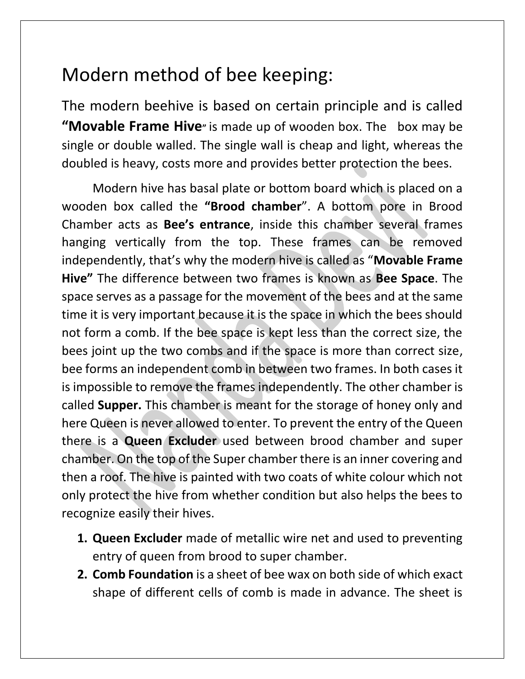## Modern method of bee keeping:

The modern beehive is based on certain principle and is called **"Movable Frame Hive"** is made up of wooden box. The box may be single or double walled. The single wall is cheap and light, whereas the doubled is heavy, costs more and provides better protection the bees.

Modern hive has basal plate or bottom board which is placed on a wooden box called the **"Brood chamber**". A bottom pore in Brood Chamber acts as **Bee's entrance**, inside this chamber several frames hanging vertically from the top. These frames can be removed independently, that's why the modern hive is called as "**Movable Frame Hive"** The difference between two frames is known as **Bee Space**. The space serves as a passage for the movement of the bees and at the same time it is very important because it is the space in which the bees should not form a comb. If the bee space is kept less than the correct size, the bees joint up the two combs and if the space is more than correct size, bee forms an independent comb in between two frames. In both cases it is impossible to remove the frames independently. The other chamber is called **Supper.** This chamber is meant for the storage of honey only and here Queen is never allowed to enter. To prevent the entry of the Queen there is a **Queen Excluder** used between brood chamber and super chamber. On the top of the Super chamber there is an inner covering and then a roof. The hive is painted with two coats of white colour which not only protect the hive from whether condition but also helps the bees to recognize easily their hives.

- **1. Queen Excluder** made of metallic wire net and used to preventing entry of queen from brood to super chamber.
- **2. Comb Foundation** is a sheet of bee wax on both side of which exact shape of different cells of comb is made in advance. The sheet is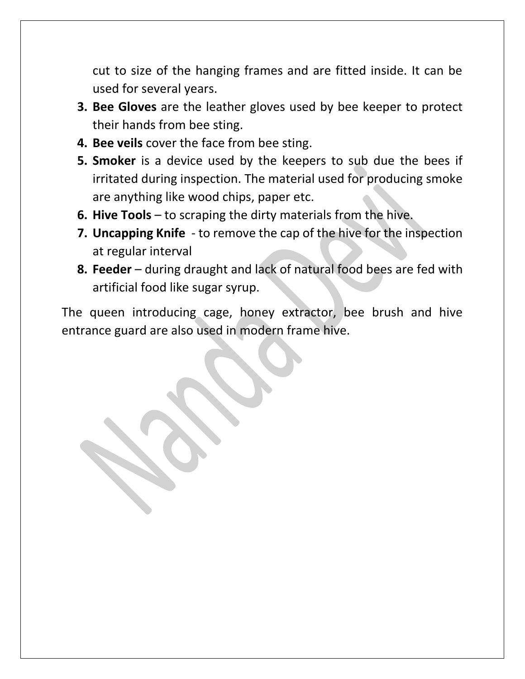cut to size of the hanging frames and are fitted inside. It can be used for several years.

- **3. Bee Gloves** are the leather gloves used by bee keeper to protect their hands from bee sting.
- **4. Bee veils** cover the face from bee sting.
- **5. Smoker** is a device used by the keepers to sub due the bees if irritated during inspection. The material used for producing smoke are anything like wood chips, paper etc.
- **6. Hive Tools** to scraping the dirty materials from the hive.
- **7. Uncapping Knife**  to remove the cap of the hive for the inspection at regular interval
- **8. Feeder** during draught and lack of natural food bees are fed with artificial food like sugar syrup.

The queen introducing cage, honey extractor, bee brush and hive entrance guard are also used in modern frame hive.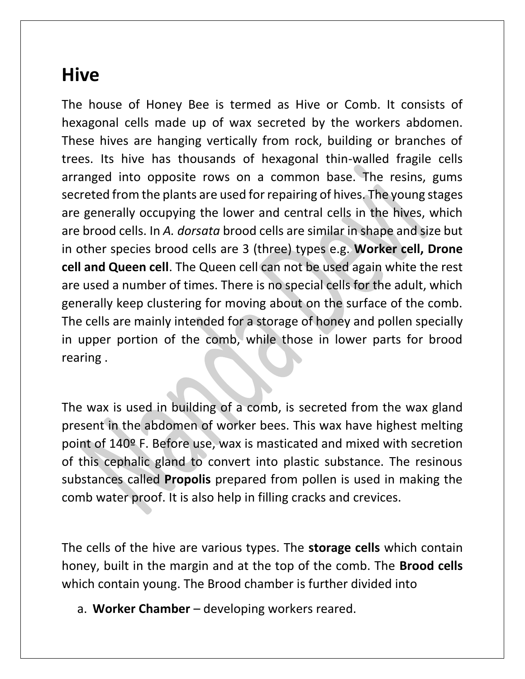## **Hive**

The house of Honey Bee is termed as Hive or Comb. It consists of hexagonal cells made up of wax secreted by the workers abdomen. These hives are hanging vertically from rock, building or branches of trees. Its hive has thousands of hexagonal thin-walled fragile cells arranged into opposite rows on a common base. The resins, gums secreted from the plants are used for repairing of hives. The young stages are generally occupying the lower and central cells in the hives, which are brood cells. In *A. dorsata* brood cells are similar in shape and size but in other species brood cells are 3 (three) types e.g. **Worker cell, Drone cell and Queen cell**. The Queen cell can not be used again white the rest are used a number of times. There is no special cells for the adult, which generally keep clustering for moving about on the surface of the comb. The cells are mainly intended for a storage of honey and pollen specially in upper portion of the comb, while those in lower parts for brood rearing .

The wax is used in building of a comb, is secreted from the wax gland present in the abdomen of worker bees. This wax have highest melting point of 140º F. Before use, wax is masticated and mixed with secretion of this cephalic gland to convert into plastic substance. The resinous substances called **Propolis** prepared from pollen is used in making the comb water proof. It is also help in filling cracks and crevices.

The cells of the hive are various types. The **storage cells** which contain honey, built in the margin and at the top of the comb. The **Brood cells** which contain young. The Brood chamber is further divided into

a. **Worker Chamber** – developing workers reared.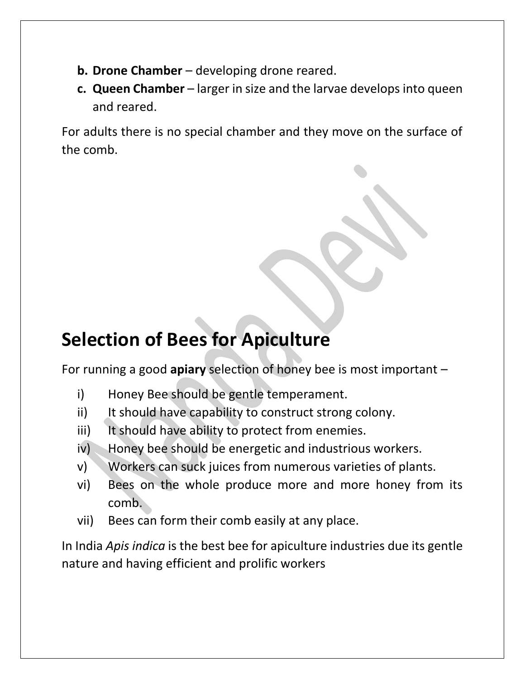- **b. Drone Chamber** developing drone reared.
- **c. Queen Chamber** larger in size and the larvae develops into queen and reared.

For adults there is no special chamber and they move on the surface of the comb.

## **Selection of Bees for Apiculture**

For running a good **apiary** selection of honey bee is most important –

- i) Honey Bee should be gentle temperament.
- ii) It should have capability to construct strong colony.
- iii) It should have ability to protect from enemies.
- iv) Honey bee should be energetic and industrious workers.
- v) Workers can suck juices from numerous varieties of plants.
- vi) Bees on the whole produce more and more honey from its comb.
- vii) Bees can form their comb easily at any place.

In India *Apis indica* is the best bee for apiculture industries due its gentle nature and having efficient and prolific workers